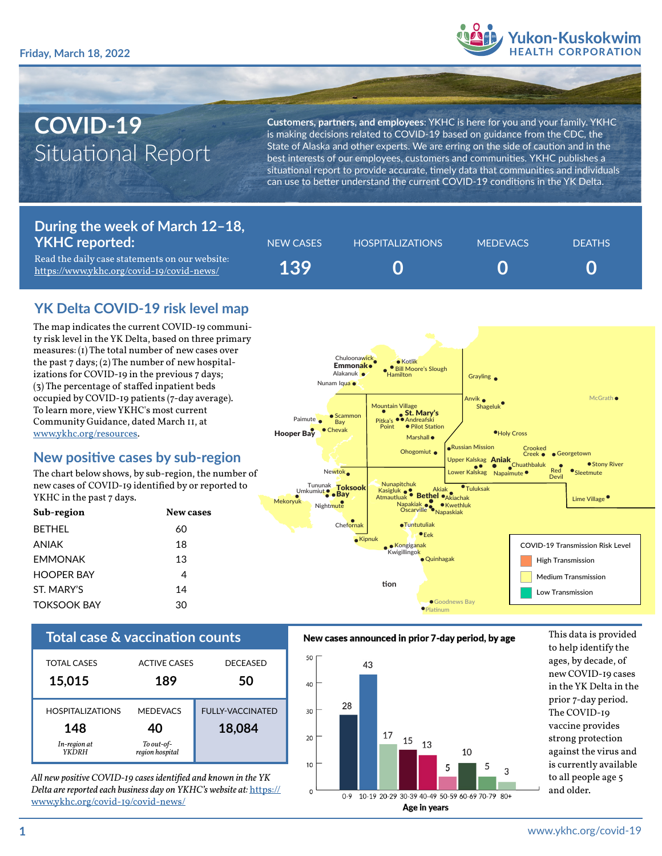

# **COVID-19** Situational Report

**Customers, partners, and employees**: YKHC is here for you and your family. YKHC is making decisions related to COVID-19 based on guidance from the CDC, the State of Alaska and other experts. We are erring on the side of caution and in the best interests of our employees, customers and communities. YKHC publishes a situational report to provide accurate, timely data that communities and individuals can use to better understand the current COVID-19 conditions in the YK Delta.

## **During the week of March 12–18, YKHC reported:**

Read the daily case statements on our website: <https://www.ykhc.org/covid-19/covid-news/>

| NEW CASES | HOSPITALIZATIONS | <b>MEDEVACS</b> | <b>DEATHS</b> |
|-----------|------------------|-----------------|---------------|
| 139       |                  |                 |               |

# **YK Delta COVID-19 risk level map**

The map indicates the current COVID-19 community risk level in the YK Delta, based on three primary measures: (1) The total number of new cases over the past  $7 \text{ days}$ ; (2) The number of new hospitalizations for COVID-19 in the previous 7 days; (3) The percentage of staffed inpatient beds occupied by COVID-19 patients (7-day average). To learn more, view YKHC's most current Community Guidance, dated March 11, at [www.ykhc.org/resources](http://www.ykhc.org/resources).

### **New positive cases by sub-region**

The chart below shows, by sub-region, the number of new cases of COVID-19 identified by or reported to YKHC in the past 7 days.

| Sub-region         | New cases |
|--------------------|-----------|
| <b>BETHEL</b>      | 60        |
| ANIAK              | 18        |
| <b>FMMONAK</b>     | 13        |
| <b>HOOPER BAY</b>  | 4         |
| ST. MARY'S         | 14        |
| <b>TOKSOOK BAY</b> | 30        |



| <b>TOTAL CASES</b>                                             | <b>ACTIVE CASES</b>                                    | <b>DECEASED</b>                   |
|----------------------------------------------------------------|--------------------------------------------------------|-----------------------------------|
| 15,015                                                         | 189                                                    | 50                                |
| <b>HOSPITALIZATIONS</b><br>148<br>In-region at<br><b>YKDRH</b> | <b>MEDEVACS</b><br>40<br>To out-of-<br>region hospital | <b>FULLY-VACCINATED</b><br>18,084 |

*All new positive COVID-19 cases identified and known in the YK Delta are reported each business day on YKHC's website at:* [https://](https://www.ykhc.org/covid-19/covid-news/) [www.ykhc.org/covid-19/covid-news/](https://www.ykhc.org/covid-19/covid-news/)

#### **Total case & vaccination counts** New cases announced in prior 7-day period, by age This data is provided



to help identify the ages, by decade, of new COVID-19 cases in the YK Delta in the prior 7-day period. The COVID-19 vaccine provides strong protection against the virus and is currently available to all people age 5 and older.